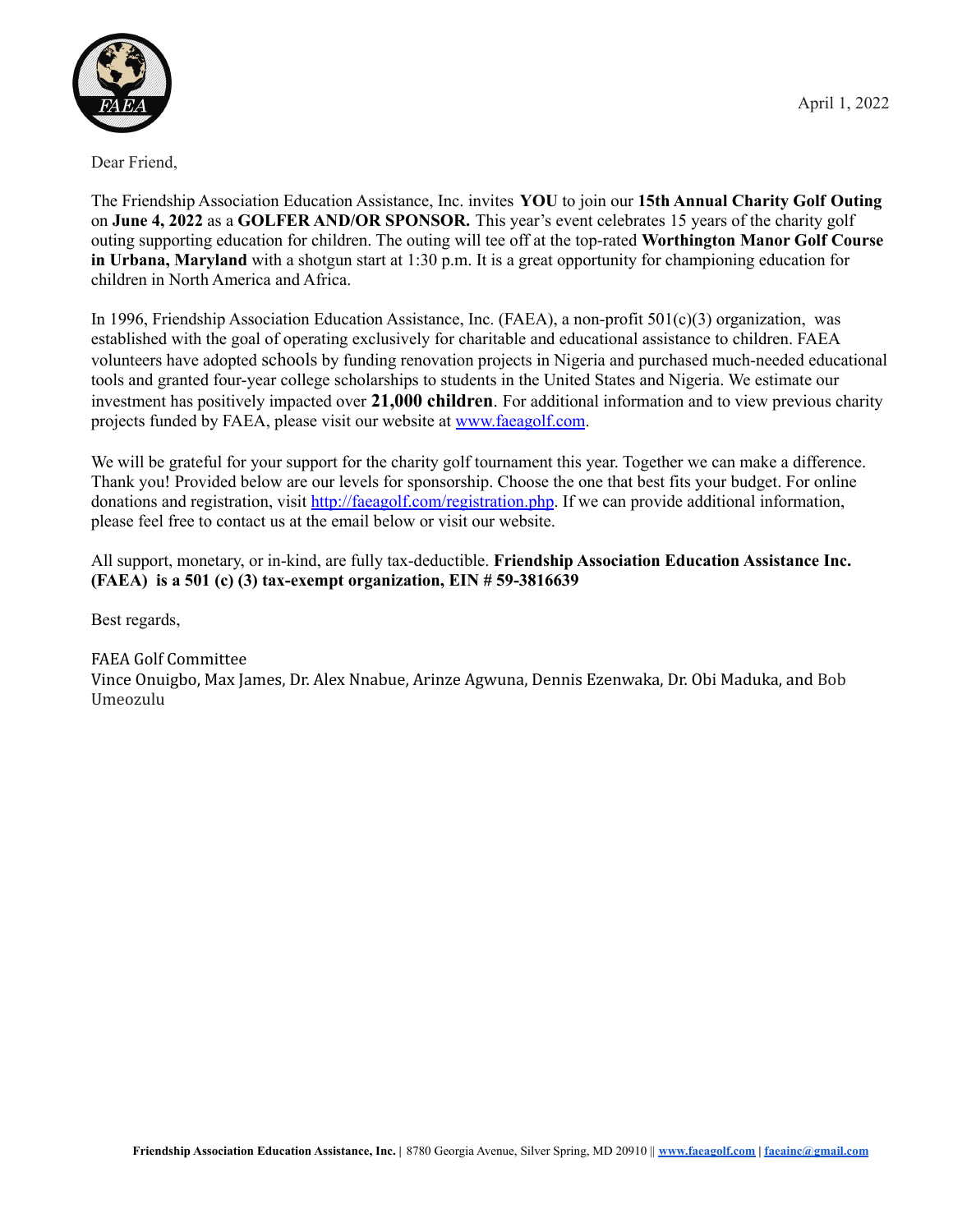

Dear Friend,

The Friendship Association Education Assistance, Inc. invites **YOU** to join our **15th Annual Charity Golf Outing** on **June 4, 2022** as a **GOLFER AND/OR SPONSOR.** This year's event celebrates 15 years of the charity golf outing supporting education for children. The outing will tee off at the top-rated **Worthington Manor Golf Course in Urbana, Maryland** with a shotgun start at 1:30 p.m. It is a great opportunity for championing education for children in North America and Africa.

In 1996, Friendship Association Education Assistance, Inc. (FAEA), a non-profit 501(c)(3) organization, was established with the goal of operating exclusively for charitable and educational assistance to children. FAEA volunteers have adopted schools by funding renovation projects in Nigeria and purchased much-needed educational tools and granted four-year college scholarships to students in the United States and Nigeria. We estimate our investment has positively impacted over **21,000 children**. For additional information and to view previous charity projects funded by FAEA, please visit our website at [www.faeagolf.com](http://www.faeagolf.com).

We will be grateful for your support for the charity golf tournament this year. Together we can make a difference. Thank you! Provided below are our levels for sponsorship. Choose the one that best fits your budget. For online donations and registration, visit <http://faeagolf.com/registration.php>. If we can provide additional information, please feel free to contact us at the email below or visit our website.

All support, monetary, or in-kind, are fully tax-deductible. **Friendship Association Education Assistance Inc. (FAEA) is a 501 (c) (3) tax-exempt organization, EIN # 59-3816639**

Best regards,

FAEA Golf Committee

Vince Onuigbo, Max James, Dr. Alex Nnabue, Arinze Agwuna, Dennis Ezenwaka, Dr. Obi Maduka, and Bob Umeozulu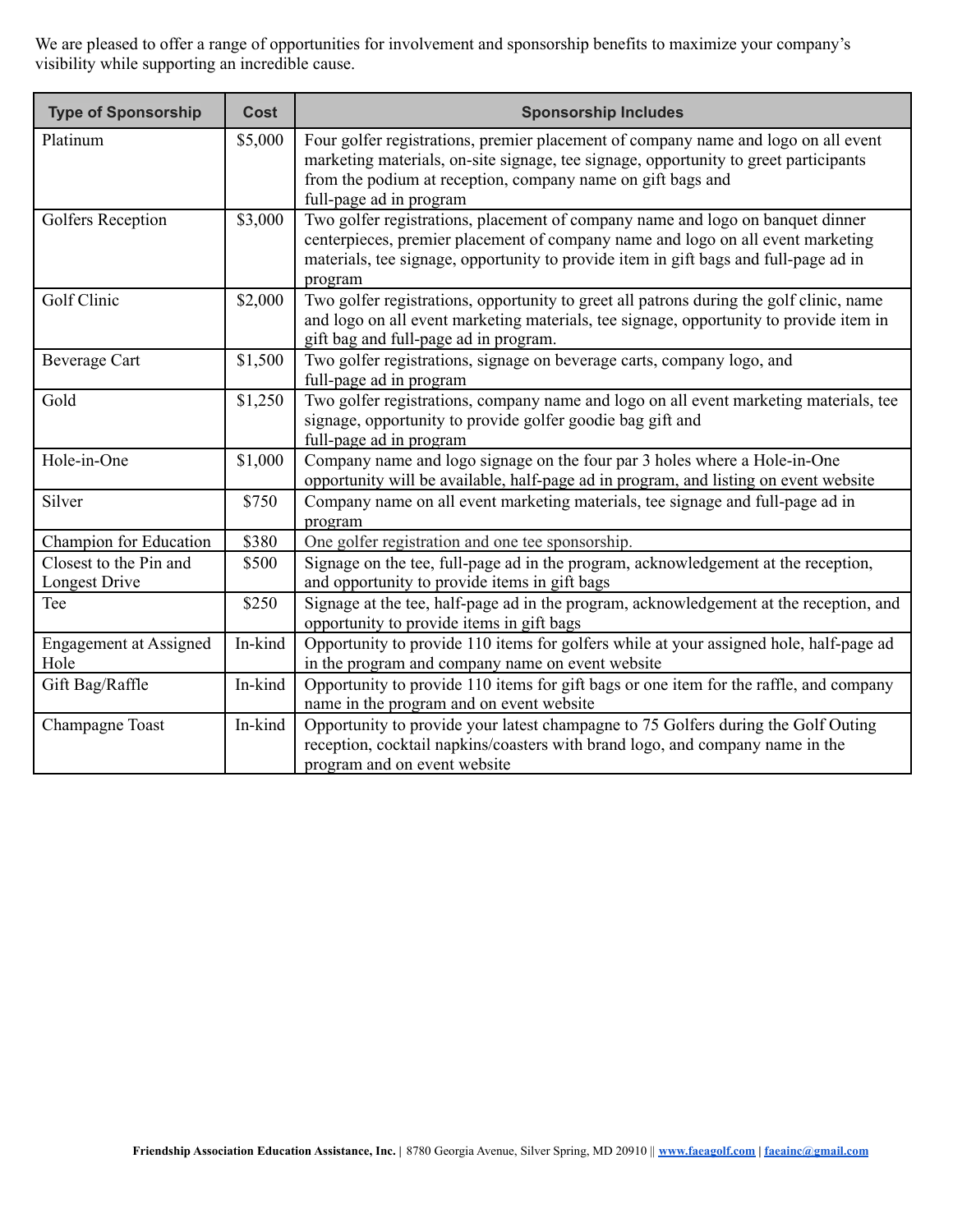We are pleased to offer a range of opportunities for involvement and sponsorship benefits to maximize your company's visibility while supporting an incredible cause.

| <b>Type of Sponsorship</b>              | <b>Cost</b> | <b>Sponsorship Includes</b>                                                                                                                                                                                                                                          |
|-----------------------------------------|-------------|----------------------------------------------------------------------------------------------------------------------------------------------------------------------------------------------------------------------------------------------------------------------|
| Platinum                                | \$5,000     | Four golfer registrations, premier placement of company name and logo on all event<br>marketing materials, on-site signage, tee signage, opportunity to greet participants<br>from the podium at reception, company name on gift bags and<br>full-page ad in program |
| Golfers Reception                       | \$3,000     | Two golfer registrations, placement of company name and logo on banquet dinner<br>centerpieces, premier placement of company name and logo on all event marketing<br>materials, tee signage, opportunity to provide item in gift bags and full-page ad in<br>program |
| Golf Clinic                             | \$2,000     | Two golfer registrations, opportunity to greet all patrons during the golf clinic, name<br>and logo on all event marketing materials, tee signage, opportunity to provide item in<br>gift bag and full-page ad in program.                                           |
| <b>Beverage Cart</b>                    | \$1,500     | Two golfer registrations, signage on beverage carts, company logo, and<br>full-page ad in program                                                                                                                                                                    |
| Gold                                    | \$1,250     | Two golfer registrations, company name and logo on all event marketing materials, tee<br>signage, opportunity to provide golfer goodie bag gift and<br>full-page ad in program                                                                                       |
| Hole-in-One                             | \$1,000     | Company name and logo signage on the four par 3 holes where a Hole-in-One<br>opportunity will be available, half-page ad in program, and listing on event website                                                                                                    |
| Silver                                  | \$750       | Company name on all event marketing materials, tee signage and full-page ad in<br>program                                                                                                                                                                            |
| Champion for Education                  | \$380       | One golfer registration and one tee sponsorship.                                                                                                                                                                                                                     |
| Closest to the Pin and<br>Longest Drive | \$500       | Signage on the tee, full-page ad in the program, acknowledgement at the reception,<br>and opportunity to provide items in gift bags                                                                                                                                  |
| Tee                                     | \$250       | Signage at the tee, half-page ad in the program, acknowledgement at the reception, and<br>opportunity to provide items in gift bags                                                                                                                                  |
| <b>Engagement at Assigned</b><br>Hole   | In-kind     | Opportunity to provide 110 items for golfers while at your assigned hole, half-page ad<br>in the program and company name on event website                                                                                                                           |
| Gift Bag/Raffle                         | In-kind     | Opportunity to provide 110 items for gift bags or one item for the raffle, and company<br>name in the program and on event website                                                                                                                                   |
| Champagne Toast                         | In-kind     | Opportunity to provide your latest champagne to 75 Golfers during the Golf Outing<br>reception, cocktail napkins/coasters with brand logo, and company name in the<br>program and on event website                                                                   |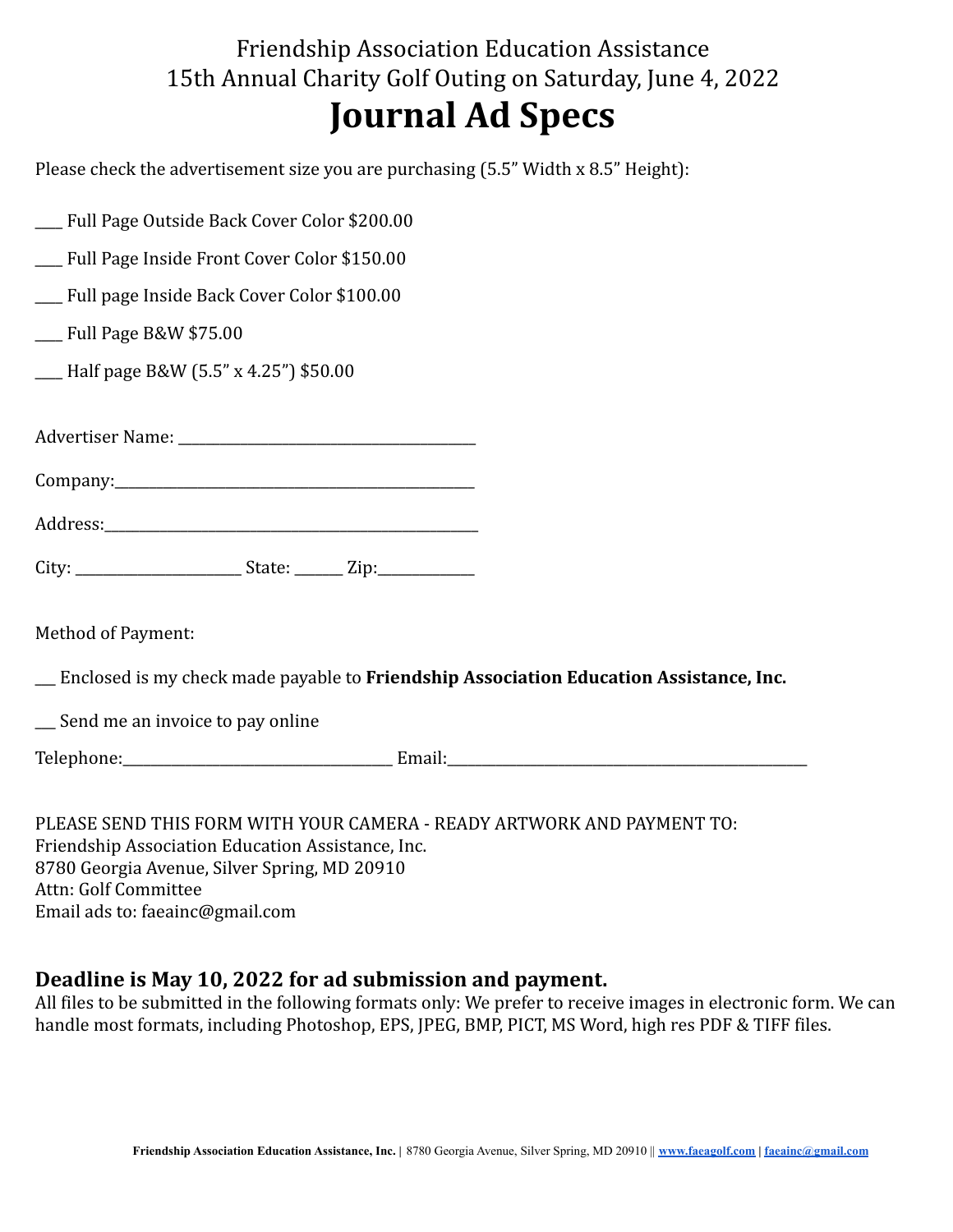## Friendship Association Education Assistance 15th Annual Charity Golf Outing on Saturday, June 4, 2022 **Journal Ad Specs**

Please check the advertisement size you are purchasing (5.5" Width x 8.5" Height):

| __ Full Page Outside Back Cover Color \$200.00 |                                                                                           |
|------------------------------------------------|-------------------------------------------------------------------------------------------|
| __ Full Page Inside Front Cover Color \$150.00 |                                                                                           |
| __ Full page Inside Back Cover Color \$100.00  |                                                                                           |
| $\frac{1}{2}$ Full Page B&W \$75.00            |                                                                                           |
| __ Half page B&W (5.5" x 4.25") \$50.00        |                                                                                           |
|                                                |                                                                                           |
|                                                |                                                                                           |
|                                                |                                                                                           |
|                                                |                                                                                           |
| <b>Method of Payment:</b>                      |                                                                                           |
|                                                | __ Enclosed is my check made payable to Friendship Association Education Assistance, Inc. |
| __ Send me an invoice to pay online            |                                                                                           |
|                                                |                                                                                           |

PLEASE SEND THIS FORM WITH YOUR CAMERA - READY ARTWORK AND PAYMENT TO: Friendship Association Education Assistance, Inc. 8780 Georgia Avenue, Silver Spring, MD 20910 Attn: Golf Committee Email ads to: faeainc@gmail.com

## **Deadline is May 10, 2022 for ad submission and payment.**

All files to be submitted in the following formats only: We prefer to receive images in electronic form. We can handle most formats, including Photoshop, EPS, JPEG, BMP, PICT, MS Word, high res PDF & TIFF files.